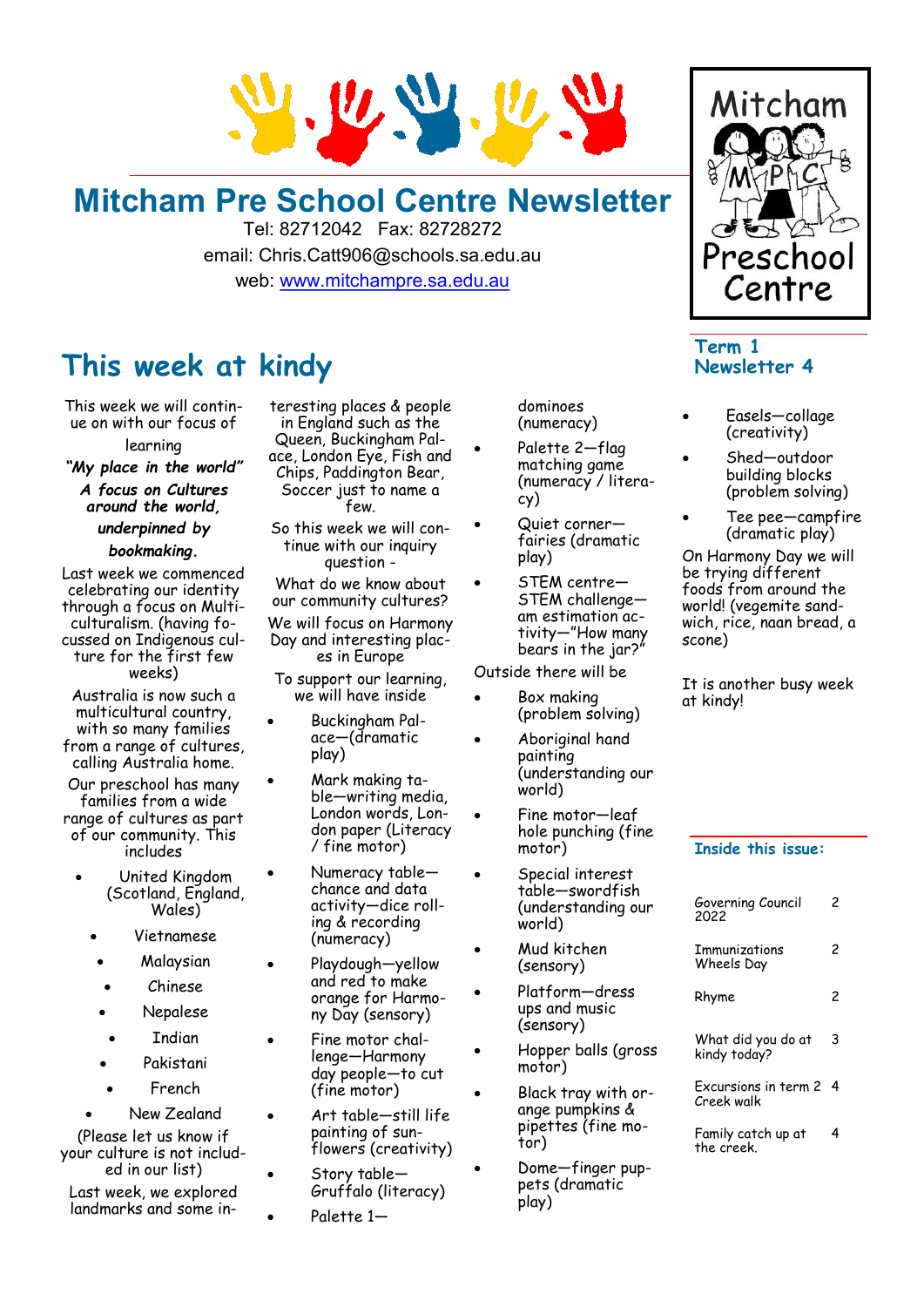

# **Mitcham Pre School Centre Newsletter**

Tel: 82712042 Fax: 82728272 email: Chris.Catt906@schools.sa.edu.au web: [www.mitchampre.sa.edu.au](http://www.mitchampre.sa.edu.au/) 

### **This week at kindy**

This week we will continue on with our focus of learning

*"My place in the world" A focus on Cultures around the world, underpinned by bookmaking.*

Last week we commenced celebrating our identity through a focus on Multiculturalism. (having focussed on Indigenous culture for the first few weeks)

Australia is now such a multicultural country, with so many families from a range of cultures, calling Australia home.

Our preschool has many families from a wide range of cultures as part of our community. This includes

- United Kingdom (Scotland, England, Wales)
	- Vietnamese
	- Malaysian
	- Chinese
	- Nepalese
	- **Indian**
	- Pakistani
	- **French**

• New Zealand (Please let us know if your culture is not included in our list)

Last week, we explored landmarks and some in-

teresting places & people in England such as the Queen, Buckingham Palace, London Eye, Fish and Chips, Paddington Bear, Soccer just to name a few.

So this week we will continue with our inquiry question -

What do we know about our community cultures? We will focus on Harmony Day and interesting places in Europe

To support our learning, we will have inside

- Buckingham Palace—(dramatic play)
- Mark making table—writing media, London words, London paper (Literacy / fine motor)
- Numeracy table chance and data activity—dice rolling & recording (numeracy)
- Playdough-yellow and red to make orange for Harmony Day (sensory)
- Fine motor challenge—Harmony day people—to cut (fine motor)
	- Art table—still life painting of sunflowers (creativity)
	- Story table— Gruffalo (literacy)
		- Palette 1-

dominoes (numeracy)

- Palette 2-flag matching game (numeracy / literacy)
- Quiet cornerfairies (dramatic play)
- STEM centre-STEM challenge am estimation activity—"How many bears in the jar?"

Outside there will be

- Box making (problem solving)
	- Aboriginal hand painting (understanding our world)
- Fine motor—leaf hole punching (fine motor)
- Special interest table—swordfish (understanding our world)
- Mud kitchen (sensory)
- Platform-dress ups and music (sensory)
- Hopper balls (gross motor)
- Black tray with orange pumpkins & pipettes (fine motor)
- Dome—finger puppets (dramatic play)



### **Term 1 Newsletter 4**

- Easels—collage (creativity)
- Shed—outdoor building blocks (problem solving)
- Tee pee—campfire (dramatic play)

On Harmony Day we will be trying different foods from around the world! (vegemite sandwich, rice, naan bread, a scone)

It is another busy week at kindy!

### **Inside this issue:**

| Governing Council<br>2022          | 2 |
|------------------------------------|---|
| Immunizations<br>Wheels Day        | 2 |
| Rhyme                              | 2 |
| What did you do at<br>kindy today? | 3 |
| Excursions in term 2<br>Creek walk | 4 |
| Family catch up at<br>the creek.   | 4 |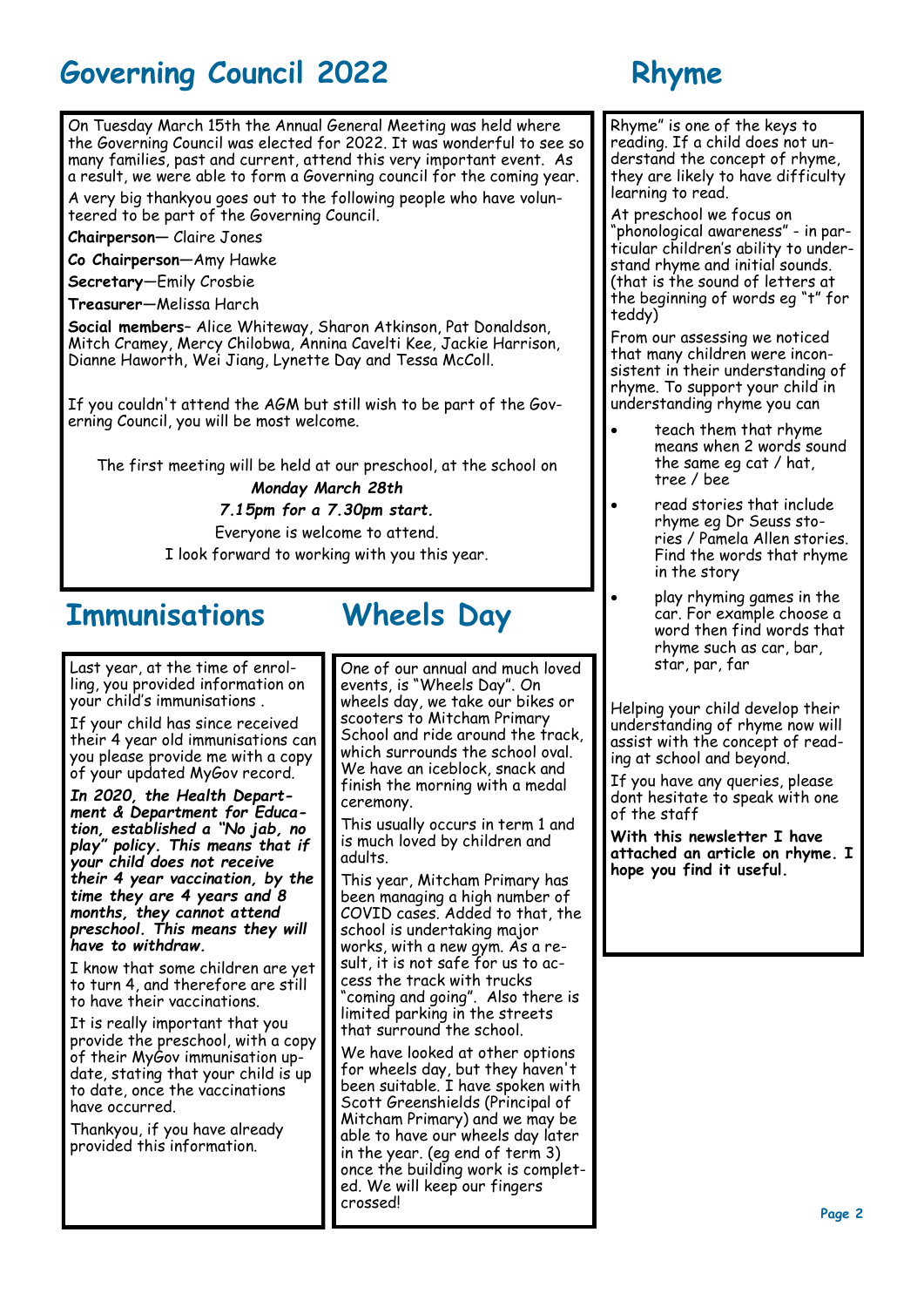# **Governing Council 2022 Rhyme**

On Tuesday March 15th the Annual General Meeting was held where the Governing Council was elected for 2022. It was wonderful to see so many families, past and current, attend this very important event. As a result, we were able to form a Governing council for the coming year.

A very big thankyou goes out to the following people who have volunteered to be part of the Governing Council.

**Chairperson—** Claire Jones

**Co Chairperson—**Amy Hawke

**Secretary**—Emily Crosbie

**Treasurer**—Melissa Harch

**Social members**– Alice Whiteway, Sharon Atkinson, Pat Donaldson, Mitch Cramey, Mercy Chilobwa, Annina Cavelti Kee, Jackie Harrison, Dianne Haworth, Wei Jiang, Lynette Day and Tessa McColl.

If you couldn't attend the AGM but still wish to be part of the Governing Council, you will be most welcome.

The first meeting will be held at our preschool, at the school on *Monday March 28th*

*7.15pm for a 7.30pm start.*

Everyone is welcome to attend.

I look forward to working with you this year.

### **Immunisations Wheels Day**

Last year, at the time of enrolling, you provided information on your child's immunisations .

If your child has since received their 4 year old immunisations can you please provide me with a copy of your updated MyGov record.

*In 2020, the Health Department & Department for Education, established a "No jab, no play" policy. This means that if your child does not receive their 4 year vaccination, by the time they are 4 years and 8 months, they cannot attend preschool. This means they will have to withdraw.* 

I know that some children are yet to turn 4, and therefore are still to have their vaccinations.

It is really important that you provide the preschool, with a copy of their MyGov immunisation update, stating that your child is up to date, once the vaccinations have occurred.

Thankyou, if you have already provided this information.

One of our annual and much loved events, is "Wheels Day". On wheels day, we take our bikes or scooters to Mitcham Primary School and ride around the track, which surrounds the school oval. We have an iceblock, snack and finish the morning with a medal ceremony.

This usually occurs in term 1 and is much loved by children and adults.

This year, Mitcham Primary has been managing a high number of COVID cases. Added to that, the school is undertaking major works, with a new gym. As a result, it is not safe for us to access the track with trucks coming and going". Also there is limited parking in the streets that surround the school.

We have looked at other options for wheels day, but they haven't been suitable. I have spoken with Scott Greenshields (Principal of Mitcham Primary) and we may be able to have our wheels day later in the year. (eg end of term 3) once the building work is completed. We will keep our fingers crossed!

Rhyme" is one of the keys to reading. If a child does not understand the concept of rhyme, they are likely to have difficulty learning to read.

At preschool we focus on "phonological awareness" - in particular children's ability to understand rhyme and initial sounds. (that is the sound of letters at the beginning of words eg "t" for teddy)

From our assessing we noticed that many children were inconsistent in their understanding of rhyme. To support your child in understanding rhyme you can

- teach them that rhyme means when 2 words sound the same eg cat / hat, tree / bee
- read stories that include rhyme eg Dr Seuss stories / Pamela Allen stories. Find the words that rhyme in the story
- play rhyming games in the car. For example choose a word then find words that rhyme such as car, bar, star, par, far

Helping your child develop their understanding of rhyme now will assist with the concept of reading at school and beyond.

If you have any queries, please dont hesitate to speak with one of the staff

**With this newsletter I have attached an article on rhyme. I hope you find it useful.**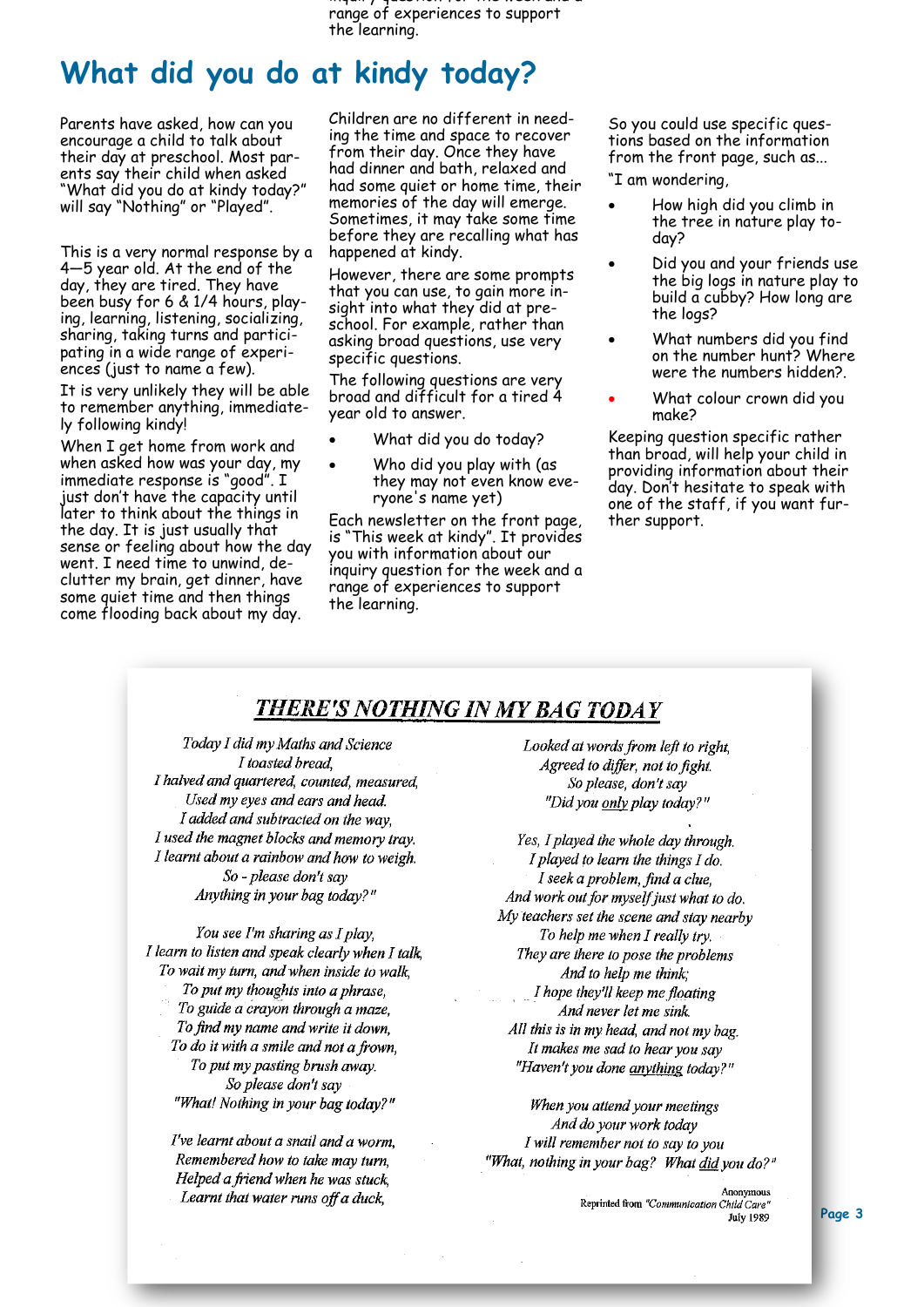inquiry question for the week and a range of experiences to support the learning.

## **What did you do at kindy today?**

Parents have asked, how can you encourage a child to talk about their day at preschool. Most parents say their child when asked "What did you do at kindy today?" will say "Nothing" or "Played".

This is a very normal response by a 4—5 year old. At the end of the day, they are tired. They have been busy for 6 & 1/4 hours, playing, learning, listening, socializing, sharing, taking turns and participating in a wide range of experiences (just to name a few).

It is very unlikely they will be able to remember anything, immediately following kindy!

When I get home from work and when  $2$  you home that your day, my immediate response is "good". I just don't have the capacity until later to think about the things in the day. It is just usually that sense or feeling about how the day went. I need time to unwind, declutter my brain, get dinner, have some quiet time and then things come flooding back about my day.

Children are no different in needing the time and space to recover from their day. Once they have had dinner and bath, relaxed and had some quiet or home time, their memories of the day will emerge. Sometimes, it may take some time before they are recalling what has happened at kindy.

However, there are some prompts that you can use, to gain more insight into what they did at preschool. For example, rather than asking broad questions, use very specific questions.

The following questions are very broad and difficult for a tired 4 year old to answer.

- What did you do today?
- Who did you play with (as they may not even know everyone's name yet)

Each newsletter on the front page, is "This week at kindy". It provides you with information about our inquiry question for the week and a range of experiences to support the learning.

So you could use specific questions based on the information from the front page, such as...

"I am wondering,

- How high did you climb in the tree in nature play today?
- Did you and your friends use the big logs in nature play to build a cubby? How long are the logs?
- What numbers did you find on the number hunt? Where were the numbers hidden?.
- What colour crown did you make?

Keeping question specific rather than broad, will help your child in providing information about their day. Don't hesitate to speak with one of the staff, if you want further support.

### **THERE'S NOTHING IN MY BAG TODAY**

Today I did my Maths and Science I toasted bread. I halved and quartered, counted, measured, Used my eyes and ears and head. I added and subtracted on the way, I used the magnet blocks and memory tray. I learnt about a rainbow and how to weigh.  $So$  - please don't say Anything in your bag today?"

You see I'm sharing as I play, I learn to listen and speak clearly when I talk, To wait my turn, and when inside to walk, To put my thoughts into a phrase, To guide a crayon through a maze, To find my name and write it down, To do it with a smile and not a frown, To put my pasting brush away. So please don't sav "What! Nothing in your bag today?"

I've learnt about a snail and a worm. Remembered how to take may turn, Helped a friend when he was stuck, Learnt that water runs off a duck,

Looked at words from left to right. Agreed to differ, not to fight. So please, don't say "Did you only play today?"

Yes, I played the whole day through. I played to learn the things  $I$  do. I seek a problem, find a clue. And work out for myself just what to do. My teachers set the scene and stay nearby To help me when I really try. They are there to pose the problems And to help me think; I hope they'll keep me floating And never let me sink. All this is in my head, and not my bag. It makes me sad to hear you say "Haven't you done anything today?"

When you attend your meetings And do your work today I will remember not to say to you "What, nothing in your bag? What did you do?"

> Anonymous Reprinted from "Communication Child Care" **July 1989**